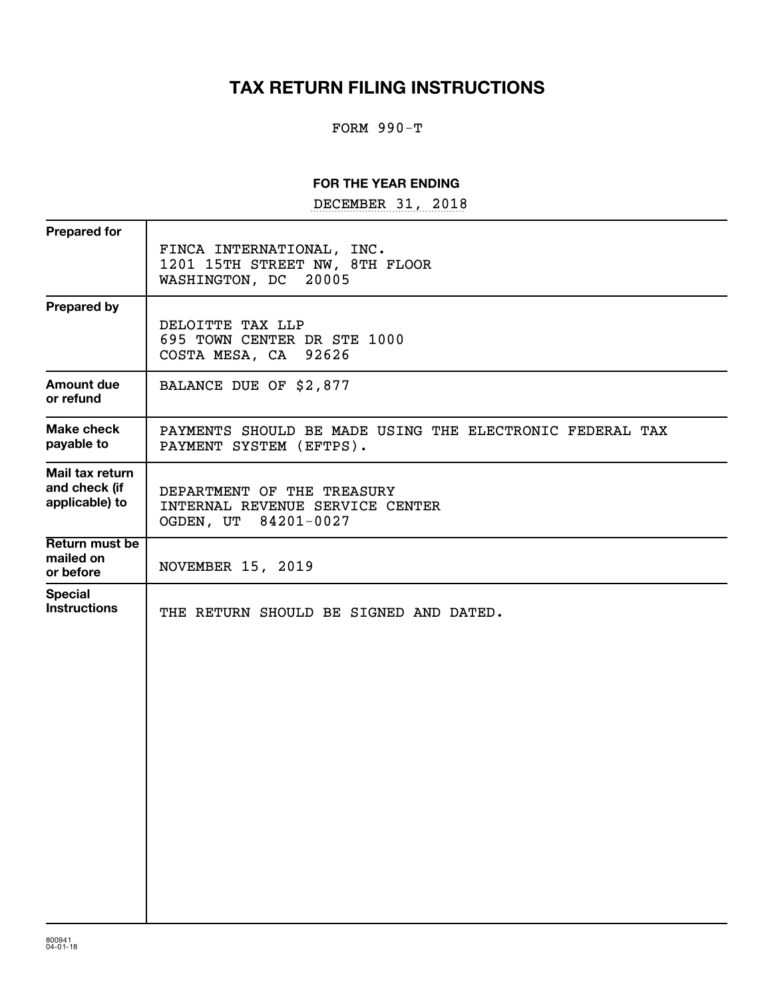# **TAX RETURN FILING INSTRUCTIONS**

# FORM 990-T

### **FOR THE YEAR ENDING**

DECEMBER 31, 2018

| <b>Prepared for</b>                                |                                                                                        |
|----------------------------------------------------|----------------------------------------------------------------------------------------|
|                                                    | FINCA INTERNATIONAL, INC.<br>1201 15TH STREET NW, 8TH FLOOR<br>WASHINGTON, DC<br>20005 |
| <b>Prepared by</b>                                 | DELOITTE TAX LLP<br>695 TOWN CENTER DR STE 1000<br>COSTA MESA, CA<br>92626             |
| <b>Amount due</b><br>or refund                     | BALANCE DUE OF \$2,877                                                                 |
| <b>Make check</b><br>payable to                    | PAYMENTS SHOULD BE MADE USING THE ELECTRONIC FEDERAL TAX<br>PAYMENT SYSTEM (EFTPS).    |
| Mail tax return<br>and check (if<br>applicable) to | DEPARTMENT OF THE TREASURY<br>INTERNAL REVENUE SERVICE CENTER<br>OGDEN, UT 84201-0027  |
| Return must be<br>mailed on<br>or before           | <b>NOVEMBER 15, 2019</b>                                                               |
| <b>Special</b><br><b>Instructions</b>              | THE RETURN SHOULD BE SIGNED AND DATED.                                                 |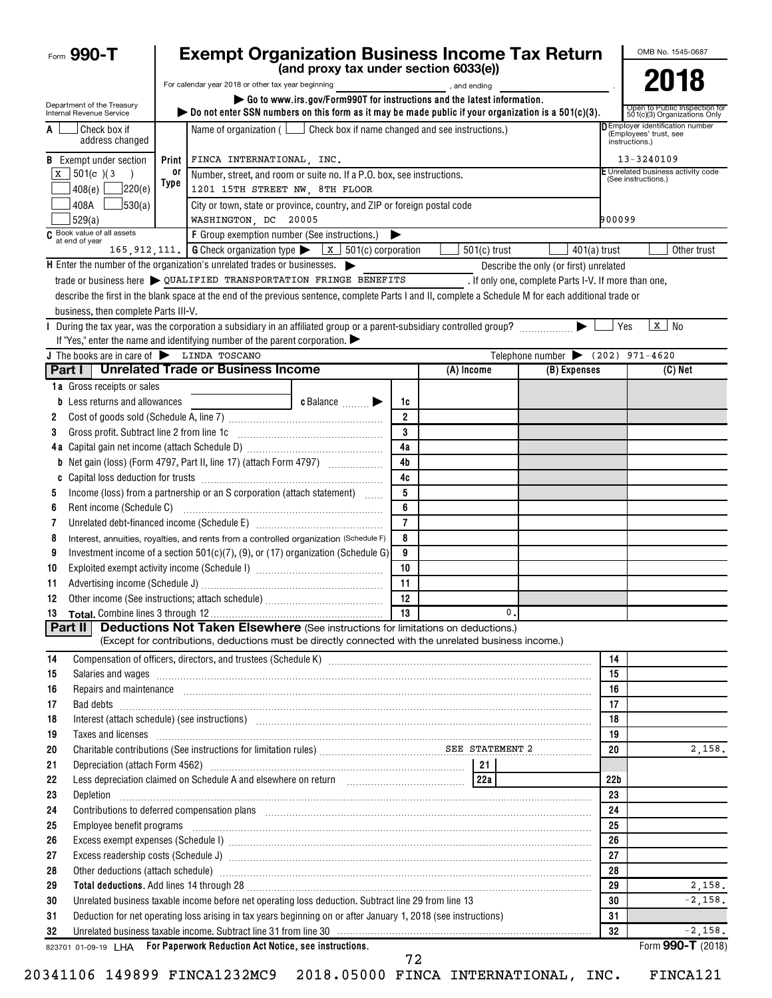| <b>Exempt Organization Business Income Tax Return</b><br>Form 990-T                                                                                                                                                                             |                |                |    |                                                      |                 | OMB No. 1545-0687                                                 |
|-------------------------------------------------------------------------------------------------------------------------------------------------------------------------------------------------------------------------------------------------|----------------|----------------|----|------------------------------------------------------|-----------------|-------------------------------------------------------------------|
| (and proxy tax under section 6033(e))                                                                                                                                                                                                           |                |                |    |                                                      |                 | 2018                                                              |
| For calendar year 2018 or other tax year beginning                                                                                                                                                                                              |                | , and ending   |    |                                                      |                 |                                                                   |
| Go to www.irs.gov/Form990T for instructions and the latest information.<br>Department of the Treasury<br>bo not enter SSN numbers on this form as it may be made public if your organization is a $501(c)(3)$ .<br>Internal Revenue Service     |                |                |    |                                                      |                 | Open to Public Inspection for<br>501(c)(3) Organizations Only     |
| Check box if name changed and see instructions.)<br>Check box if<br>Name of organization $($ $\lfloor$<br>A<br>address changed                                                                                                                  |                |                |    |                                                      | instructions.)  | <b>D</b> Employer identification number<br>(Employees' trust, see |
| <b>B</b> Exempt under section<br>FINCA INTERNATIONAL, INC.<br>Print                                                                                                                                                                             |                |                |    |                                                      |                 | 13-3240109                                                        |
| or<br>$\bar{x}$ 501(c)(3<br>Number, street, and room or suite no. If a P.O. box, see instructions.<br>Type                                                                                                                                      |                |                |    |                                                      |                 | E Unrelated business activity code<br>(See instructions.)         |
| ]220(e)<br>408(e)<br>1201 15TH STREET NW, 8TH FLOOR                                                                                                                                                                                             |                |                |    |                                                      |                 |                                                                   |
| 408A<br>J530(a)<br>City or town, state or province, country, and ZIP or foreign postal code<br>529(a)<br>WASHINGTON, DC 20005                                                                                                                   |                |                |    |                                                      | 900099          |                                                                   |
| C Book value of all assets<br>at end of year<br>F Group exemption number (See instructions.)                                                                                                                                                    |                |                |    |                                                      |                 |                                                                   |
| 165, 912, 111.   G Check organization type $\triangleright$ $\mathbf{x}$   501(c) corporation                                                                                                                                                   |                | $501(c)$ trust |    |                                                      | $401(a)$ trust  | Other trust                                                       |
| $\mathsf H$ Enter the number of the organization's unrelated trades or businesses. $\blacktriangleright$                                                                                                                                        |                |                |    | Describe the only (or first) unrelated               |                 |                                                                   |
| trade or business here $\triangleright$ QUALIFIED TRANSPORTATION FRINGE BENEFITS                                                                                                                                                                |                |                |    | . If only one, complete Parts I-V. If more than one, |                 |                                                                   |
| describe the first in the blank space at the end of the previous sentence, complete Parts I and II, complete a Schedule M for each additional trade or                                                                                          |                |                |    |                                                      |                 |                                                                   |
| business, then complete Parts III-V.                                                                                                                                                                                                            |                |                |    |                                                      |                 |                                                                   |
| I During the tax year, was the corporation a subsidiary in an affiliated group or a parent-subsidiary controlled group?                                                                                                                         |                |                |    |                                                      | Yes             | $\lfloor x \rfloor$ No                                            |
| If "Yes," enter the name and identifying number of the parent corporation.                                                                                                                                                                      |                |                |    |                                                      |                 |                                                                   |
| J The books are in care of LINDA TOSCANO                                                                                                                                                                                                        |                |                |    | Telephone number $\bullet$ (202) 971-4620            |                 |                                                                   |
| <b>Unrelated Trade or Business Income</b><br>Part I I                                                                                                                                                                                           |                | (A) Income     |    | (B) Expenses                                         |                 | (C) Net                                                           |
| 1a Gross receipts or sales                                                                                                                                                                                                                      |                |                |    |                                                      |                 |                                                                   |
| <b>b</b> Less returns and allowances<br><b>c</b> Balance $\ldots$                                                                                                                                                                               | 1c             |                |    |                                                      |                 |                                                                   |
| 2                                                                                                                                                                                                                                               | $\overline{2}$ |                |    |                                                      |                 |                                                                   |
| Gross profit. Subtract line 2 from line 1c<br>3                                                                                                                                                                                                 | 3              |                |    |                                                      |                 |                                                                   |
|                                                                                                                                                                                                                                                 | 4a             |                |    |                                                      |                 |                                                                   |
| <b>b</b> Net gain (loss) (Form 4797, Part II, line 17) (attach Form 4797)                                                                                                                                                                       | 4b             |                |    |                                                      |                 |                                                                   |
| C                                                                                                                                                                                                                                               | 4c             |                |    |                                                      |                 |                                                                   |
| Income (loss) from a partnership or an S corporation (attach statement)<br>5                                                                                                                                                                    | 5              |                |    |                                                      |                 |                                                                   |
| Rent income (Schedule C)<br>6                                                                                                                                                                                                                   | 6              |                |    |                                                      |                 |                                                                   |
| 7                                                                                                                                                                                                                                               | $\overline{7}$ |                |    |                                                      |                 |                                                                   |
| 8<br>Interest, annuities, royalties, and rents from a controlled organization (Schedule F)                                                                                                                                                      | 8              |                |    |                                                      |                 |                                                                   |
| Investment income of a section $501(c)(7)$ , (9), or (17) organization (Schedule G)<br>9                                                                                                                                                        | 9              |                |    |                                                      |                 |                                                                   |
| 10                                                                                                                                                                                                                                              | 10             |                |    |                                                      |                 |                                                                   |
| 11                                                                                                                                                                                                                                              | 11             |                |    |                                                      |                 |                                                                   |
| Other income (See instructions: attach schedule)<br>12                                                                                                                                                                                          | 12             |                |    |                                                      |                 |                                                                   |
| <b>Deductions Not Taken Elsewhere</b> (See instructions for limitations on deductions.)                                                                                                                                                         |                |                | 0. |                                                      |                 |                                                                   |
| <b>Part II</b><br>(Except for contributions, deductions must be directly connected with the unrelated business income.)                                                                                                                         |                |                |    |                                                      |                 |                                                                   |
|                                                                                                                                                                                                                                                 |                |                |    |                                                      |                 |                                                                   |
| 14                                                                                                                                                                                                                                              |                |                |    |                                                      | 14<br>15        |                                                                   |
| Salaries and wages <b>with a construction of the construction of the construction of the construction</b> of the construction of the construction of the construction of the construction of the construction of the construction o<br>15<br>16 |                |                |    |                                                      | 16              |                                                                   |
| Repairs and maintenance <i>[1] [1] [1] [1] [1] [1] [1] [1] [1] [1]</i> [1] <b>[1]</b> [1] <b>[1]</b> [1] <b>[1] [1] [1] [1] [1] [1] [1] [1] [1] [1] [1] [1] [1] [1] [1] [1] [1] [1] [1] [1] [1] [1]</b><br>17                                   |                |                |    |                                                      | 17              |                                                                   |
| Bad debts <b>www.communities.communities.communities.com</b><br>Interest (attach schedule) (see instructions) www.communications.communications.communications.communications.<br>18                                                            |                |                |    |                                                      | 18              |                                                                   |
| Taxes and licenses <b>construction and construction of the construction</b> and construction of the construction of the<br>19                                                                                                                   |                |                |    |                                                      | 19              |                                                                   |
| Charitable contributions (See instructions for limitation rules) [2001] SEE STATEMENT 2<br>20                                                                                                                                                   |                |                |    |                                                      | 20              | 2,158.                                                            |
| 21                                                                                                                                                                                                                                              |                |                |    |                                                      |                 |                                                                   |
| 22                                                                                                                                                                                                                                              |                |                |    |                                                      | 22 <sub>b</sub> |                                                                   |
| 23<br>Depletion <b>construction in the construction of the construction of the construction of the construction of the construction of the construction of the construction of the construction of the construction of the constructio</b>      |                |                |    |                                                      | 23              |                                                                   |
| Contributions to deferred compensation plans [11] manufactured manufactured manufactured manufactured manufactured manufactured manufactured manufactured manufactured manufactured manufactured manufactured manufactured man<br>24            |                |                |    |                                                      | 24              |                                                                   |
| 25                                                                                                                                                                                                                                              |                |                |    |                                                      | 25              |                                                                   |
| 26                                                                                                                                                                                                                                              |                |                |    |                                                      | 26              |                                                                   |
| 27                                                                                                                                                                                                                                              |                |                |    |                                                      | 27              |                                                                   |
| Other deductions (attach schedule) manufactured and contract and contract and contract and contract and contract and contract and contract and contract and contract and contract and contract and contract and contract and c<br>28            |                |                |    |                                                      | 28              |                                                                   |
| Total deductions. Add lines 14 through 28 [11] Manuscritting and the set of the set of the set of the set of the set of the set of the set of the set of the set of the set of the set of the set of the set of the set of the<br>29            |                |                |    |                                                      | 29              | 2,158.                                                            |
| Unrelated business taxable income before net operating loss deduction. Subtract line 29 from line 13<br>30                                                                                                                                      |                |                |    |                                                      | 30              | $-2,158.$                                                         |
| Deduction for net operating loss arising in tax years beginning on or after January 1, 2018 (see instructions)<br>31                                                                                                                            |                |                |    |                                                      | 31              |                                                                   |
| Unrelated business taxable income. Subtract line 31 from line 30 manufactured contains and contained the state of the Unrelated business taxable income. Subtract line 31 from line 30 manufactured contains and the Unrelated<br>32            |                |                |    |                                                      | 32              | $-2,158.$                                                         |
| 823701 01-09-19 LHA For Paperwork Reduction Act Notice, see instructions.                                                                                                                                                                       | $\mathbf{a}$   |                |    |                                                      |                 | Form 990-T (2018)                                                 |

20341106 149899 FINCA1232MC9 2018.05000 FINCA INTERNATIONAL, INC. FINCA121

 <sup>72</sup>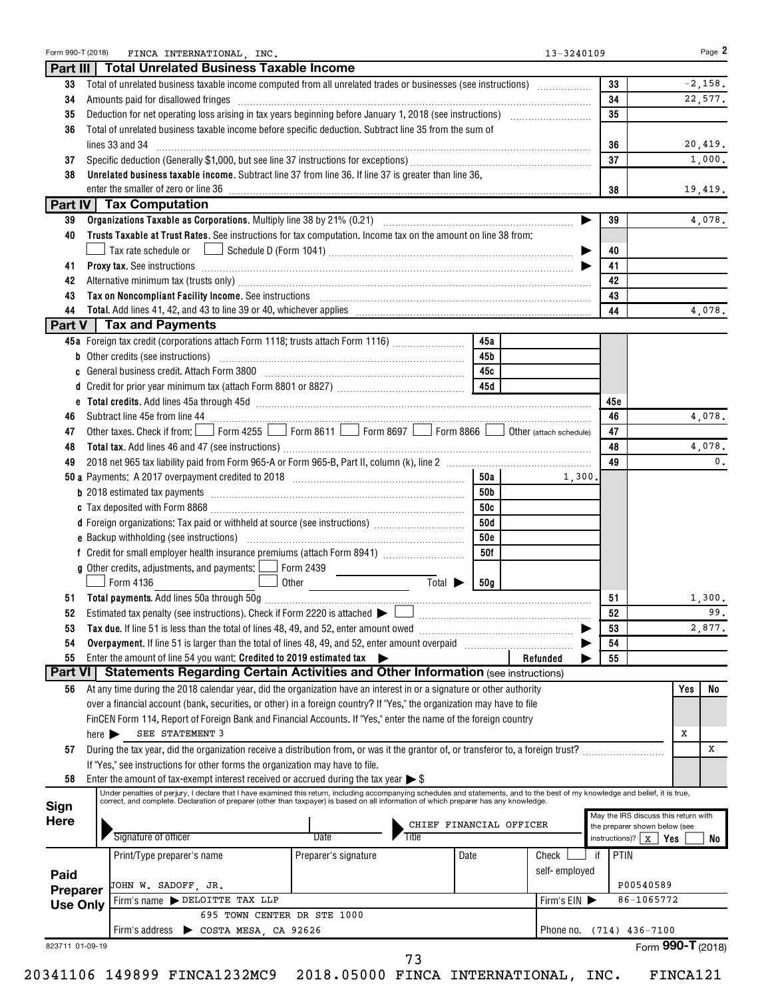|                             | Form 990-T (2018)          | FINCA INTERNATIONAL, INC.                                                                                                                                                                                                                                                                                                 |                             |                           |            | 13-3240109    |        |                                 | Page 2                               |
|-----------------------------|----------------------------|---------------------------------------------------------------------------------------------------------------------------------------------------------------------------------------------------------------------------------------------------------------------------------------------------------------------------|-----------------------------|---------------------------|------------|---------------|--------|---------------------------------|--------------------------------------|
| Part III                    |                            | <b>Total Unrelated Business Taxable Income</b>                                                                                                                                                                                                                                                                            |                             |                           |            |               |        |                                 |                                      |
| 33                          |                            | Total of unrelated business taxable income computed from all unrelated trades or businesses (see instructions)                                                                                                                                                                                                            |                             |                           |            |               |        | 33                              | $-2,158.$                            |
| 34                          |                            | Amounts paid for disallowed fringes [11, 12] Amounts are the state of the state of the state of the state of the state of the state of the state of the state of the state of the state of the state of the state of the state                                                                                            |                             |                           |            |               |        | 34                              | 22,577.                              |
| 35                          |                            |                                                                                                                                                                                                                                                                                                                           |                             |                           |            |               |        | 35                              |                                      |
| 36                          |                            | Total of unrelated business taxable income before specific deduction. Subtract line 35 from the sum of                                                                                                                                                                                                                    |                             |                           |            |               |        |                                 |                                      |
|                             |                            | lines 33 and 34                                                                                                                                                                                                                                                                                                           |                             |                           |            |               |        | 36                              | 20,419.                              |
| 37                          |                            |                                                                                                                                                                                                                                                                                                                           |                             |                           |            |               |        | 37                              | 1,000.                               |
| 38                          |                            | Unrelated business taxable income. Subtract line 37 from line 36. If line 37 is greater than line 36,                                                                                                                                                                                                                     |                             |                           |            |               |        |                                 |                                      |
|                             |                            |                                                                                                                                                                                                                                                                                                                           |                             |                           |            |               |        | 38                              | 19,419.                              |
|                             |                            | Part IV   Tax Computation                                                                                                                                                                                                                                                                                                 |                             |                           |            |               |        |                                 |                                      |
| 39                          |                            |                                                                                                                                                                                                                                                                                                                           |                             |                           |            |               |        | 39                              | 4,078.                               |
| 40                          |                            | Trusts Taxable at Trust Rates. See instructions for tax computation. Income tax on the amount on line 38 from:                                                                                                                                                                                                            |                             |                           |            |               |        |                                 |                                      |
|                             |                            | $\Box$ Tax rate schedule or $\hskip10mm \bigsqcup$ Schedule D (Form 1041) ………………………………………………………………………………                                                                                                                                                                                                                  |                             |                           |            |               | ▶      | 40                              |                                      |
| 41                          |                            | Proxy tax. See instructions information and contact the contract of the contract of the contract of the contract of the contract of the contract of the contract of the contract of the contract of the contract of the contra                                                                                            |                             |                           |            |               |        | 41                              |                                      |
| 42                          |                            |                                                                                                                                                                                                                                                                                                                           |                             |                           |            |               |        | 42                              |                                      |
| 43                          |                            | Tax on Noncompliant Facility Income. See instructions [11] Martin Martin Martin Martin Martin Martin Martin Ma                                                                                                                                                                                                            |                             |                           |            |               |        | 43                              |                                      |
| 44                          |                            |                                                                                                                                                                                                                                                                                                                           |                             |                           |            |               |        | 44                              | 4,078.                               |
| Part V                      |                            | <b>Tax and Payments</b>                                                                                                                                                                                                                                                                                                   |                             |                           |            |               |        |                                 |                                      |
|                             |                            | 45a Foreign tax credit (corporations attach Form 1118; trusts attach Form 1116)                                                                                                                                                                                                                                           |                             |                           | 45a        |               |        |                                 |                                      |
|                             |                            | <b>b</b> Other credits (see instructions)                                                                                                                                                                                                                                                                                 |                             |                           | 45b        |               |        |                                 |                                      |
|                             |                            | c General business credit. Attach Form 3800 [11] [11] Contract Contract Contract Contract Contract Contract Co                                                                                                                                                                                                            |                             |                           | 45с        |               |        |                                 |                                      |
|                             |                            |                                                                                                                                                                                                                                                                                                                           |                             |                           |            |               |        |                                 |                                      |
|                             |                            |                                                                                                                                                                                                                                                                                                                           |                             |                           |            |               |        | 45с                             |                                      |
| 46                          |                            |                                                                                                                                                                                                                                                                                                                           |                             |                           |            |               |        | 46                              | 4,078.                               |
| 47                          |                            | Other taxes. Check if from: Form 4255 Form 8611 Form 8697 Form 8866 O Other (attach schedule)                                                                                                                                                                                                                             |                             |                           |            |               |        | 47                              |                                      |
| 48                          |                            |                                                                                                                                                                                                                                                                                                                           |                             |                           |            |               |        | 48                              | 4,078.                               |
| 49                          |                            |                                                                                                                                                                                                                                                                                                                           |                             |                           |            |               |        | 49                              |                                      |
|                             |                            |                                                                                                                                                                                                                                                                                                                           |                             |                           | 50a        |               |        |                                 |                                      |
|                             |                            |                                                                                                                                                                                                                                                                                                                           |                             |                           |            |               | 1,300. |                                 |                                      |
|                             |                            |                                                                                                                                                                                                                                                                                                                           |                             |                           | 50b        |               |        |                                 |                                      |
|                             |                            |                                                                                                                                                                                                                                                                                                                           |                             |                           | 50c        |               |        |                                 |                                      |
|                             |                            | d Foreign organizations: Tax paid or withheld at source (see instructions) [                                                                                                                                                                                                                                              |                             |                           | 50d        |               |        |                                 |                                      |
|                             |                            |                                                                                                                                                                                                                                                                                                                           |                             |                           | <b>50e</b> |               |        |                                 |                                      |
|                             |                            |                                                                                                                                                                                                                                                                                                                           |                             |                           | 50f        |               |        |                                 |                                      |
|                             |                            | <b>g</b> Other credits, adjustments, and payments: $\boxed{\phantom{0}}$ Form 2439                                                                                                                                                                                                                                        |                             |                           |            |               |        |                                 |                                      |
|                             |                            | Form 4136                                                                                                                                                                                                                                                                                                                 | Other                       | $\overline{\text{Total}}$ | 50g        |               |        |                                 |                                      |
| 51                          |                            |                                                                                                                                                                                                                                                                                                                           |                             |                           |            |               |        | 51                              | 1,300.                               |
| 52                          |                            | Estimated tax penalty (see instructions). Check if Form 2220 is attached $\blacktriangleright$                                                                                                                                                                                                                            |                             |                           |            |               |        | 52                              |                                      |
| 53                          |                            |                                                                                                                                                                                                                                                                                                                           |                             |                           |            |               |        | 53                              | 2,877.                               |
| 54                          |                            | Overpayment. If line 51 is larger than the total of lines 48, 49, and 52, enter amount overpaid                                                                                                                                                                                                                           |                             |                           |            |               |        | 54                              |                                      |
| 55                          |                            | Enter the amount of line 54 you want: Credited to 2019 estimated tax                                                                                                                                                                                                                                                      |                             |                           |            | Refunded      |        | 55                              |                                      |
| <b>Part VI</b>              |                            | <b>Statements Regarding Certain Activities and Other Information (see instructions)</b>                                                                                                                                                                                                                                   |                             |                           |            |               |        |                                 |                                      |
| 56                          |                            | At any time during the 2018 calendar year, did the organization have an interest in or a signature or other authority                                                                                                                                                                                                     |                             |                           |            |               |        |                                 | Yes                                  |
|                             |                            | over a financial account (bank, securities, or other) in a foreign country? If "Yes," the organization may have to file                                                                                                                                                                                                   |                             |                           |            |               |        |                                 |                                      |
|                             |                            | FinCEN Form 114, Report of Foreign Bank and Financial Accounts. If "Yes," enter the name of the foreign country                                                                                                                                                                                                           |                             |                           |            |               |        |                                 |                                      |
|                             | here $\blacktriangleright$ | SEE STATEMENT 3                                                                                                                                                                                                                                                                                                           |                             |                           |            |               |        |                                 | х                                    |
| 57                          |                            | During the tax year, did the organization receive a distribution from, or was it the grantor of, or transferor to, a foreign trust?                                                                                                                                                                                       |                             |                           |            |               |        |                                 |                                      |
|                             |                            | If "Yes," see instructions for other forms the organization may have to file.                                                                                                                                                                                                                                             |                             |                           |            |               |        |                                 |                                      |
| 58                          |                            | Enter the amount of tax-exempt interest received or accrued during the tax year $\triangleright$ \$                                                                                                                                                                                                                       |                             |                           |            |               |        |                                 |                                      |
|                             |                            | Under penalties of perjury, I declare that I have examined this return, including accompanying schedules and statements, and to the best of my knowledge and belief, it is true,<br>correct, and complete. Declaration of preparer (other than taxpayer) is based on all information of which preparer has any knowledge. |                             |                           |            |               |        |                                 |                                      |
| Sign                        |                            |                                                                                                                                                                                                                                                                                                                           |                             |                           |            |               |        |                                 | May the IRS discuss this return with |
| <b>Here</b>                 |                            |                                                                                                                                                                                                                                                                                                                           |                             | CHIEF FINANCIAL OFFICER   |            |               |        | the preparer shown below (see   |                                      |
|                             |                            | Signature of officer                                                                                                                                                                                                                                                                                                      | Date                        | <b>Title</b>              |            |               |        | instructions)?   $\overline{X}$ | Yes                                  |
|                             |                            | Print/Type preparer's name                                                                                                                                                                                                                                                                                                | Preparer's signature        |                           | Date       | Check         | if     | PTIN                            |                                      |
|                             |                            |                                                                                                                                                                                                                                                                                                                           |                             |                           |            | self-employed |        |                                 |                                      |
|                             |                            | JOHN W. SADOFF, JR.                                                                                                                                                                                                                                                                                                       |                             |                           |            |               |        | P00540589                       |                                      |
| Paid                        |                            | Firm's name > DELOITTE TAX LLP                                                                                                                                                                                                                                                                                            |                             |                           |            | Firm's EIN    |        | 86-1065772                      |                                      |
|                             |                            |                                                                                                                                                                                                                                                                                                                           |                             |                           |            |               |        |                                 |                                      |
|                             |                            |                                                                                                                                                                                                                                                                                                                           |                             |                           |            |               |        |                                 |                                      |
| Preparer<br><b>Use Only</b> |                            | Firm's address > COSTA MESA, CA 92626                                                                                                                                                                                                                                                                                     | 695 TOWN CENTER DR STE 1000 |                           |            |               |        | Phone no. (714) 436-7100        |                                      |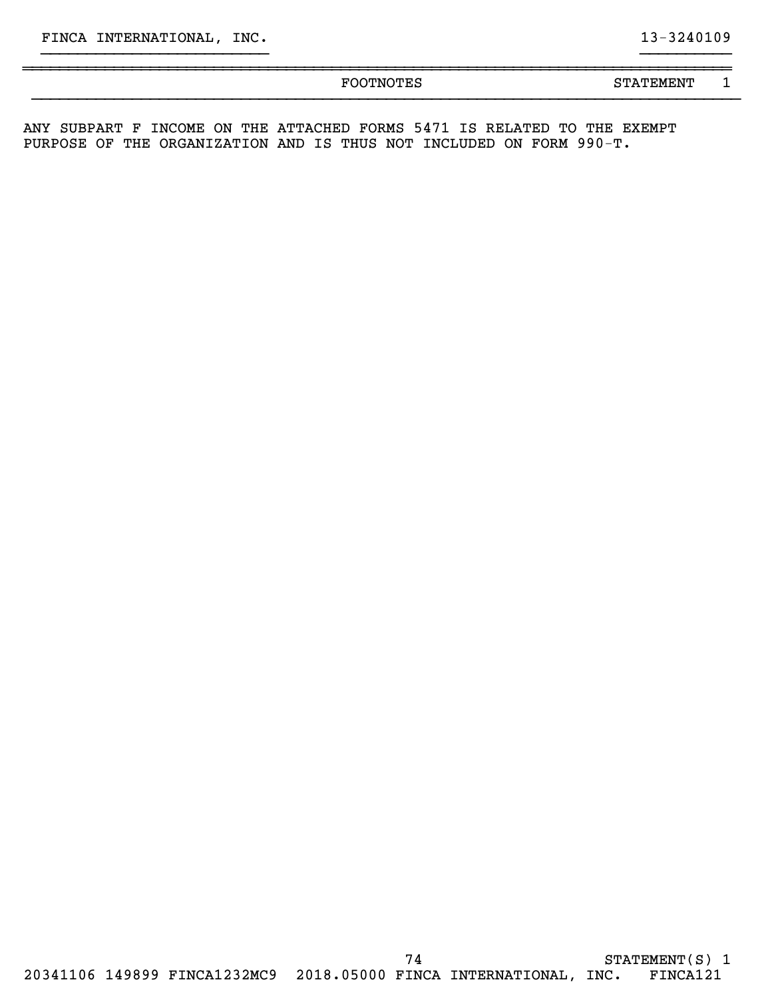20341106 149899 FINCA1232MC9 2018.05000 FINCA INTERNATIONAL, INC. FINCA121

}}}}}}}}}}}}}}}}}}}}}}}}} }}}}}}}}}} ~~~~~~~~~~~~~~~~~~~~~~~~~~~~~~~~~~~~~~~~~~~~~~~~~~~~~~~~~~~~~~~~~~~~~~~~~~~~~~

FOOTNOTES STATEMENT 1 }}}}}}}}}}}}}}}}}}}}}}}}}}}}}}}}}}}}}}}}}}}}}}}}}}}}}}}}}}}}}}}}}}}}}}}}}}}}}}

ANY SUBPART F INCOME ON THE ATTACHED FORMS 5471 IS RELATED TO THE EXEMPT PURPOSE OF THE ORGANIZATION AND IS THUS NOT INCLUDED ON FORM 990-T.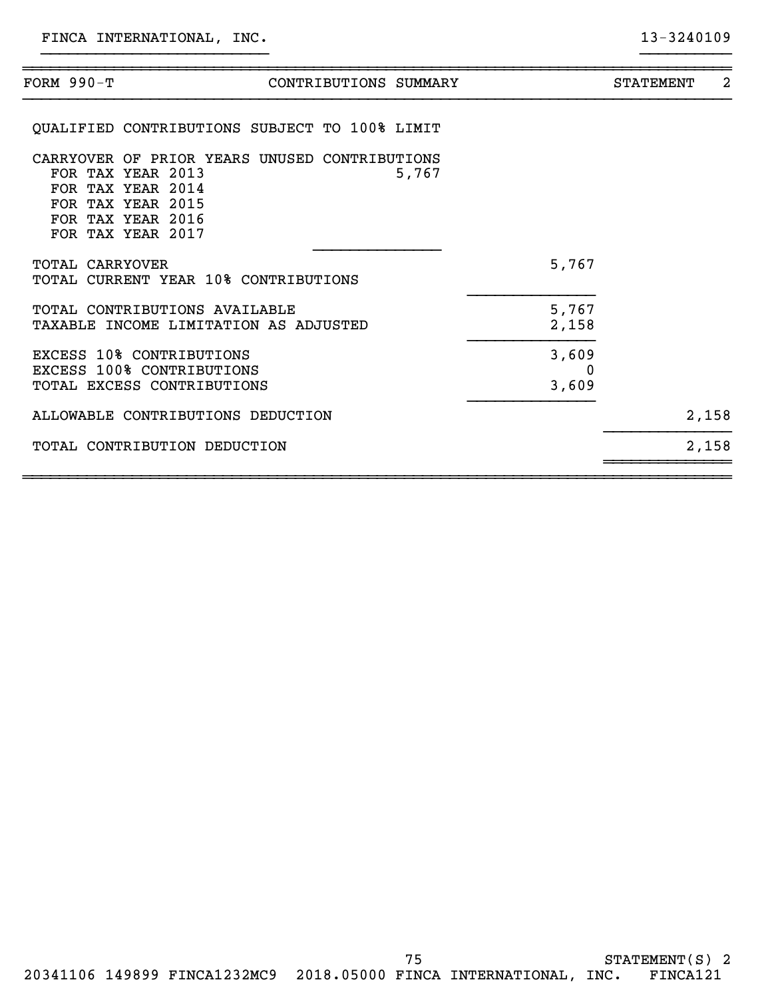| FORM 990-T             | CONTRIBUTIONS SUMMARY                                                                                                                                           |                     | 2<br><b>STATEMENT</b> |
|------------------------|-----------------------------------------------------------------------------------------------------------------------------------------------------------------|---------------------|-----------------------|
|                        | QUALIFIED CONTRIBUTIONS SUBJECT TO 100% LIMIT                                                                                                                   |                     |                       |
|                        | CARRYOVER OF PRIOR YEARS UNUSED CONTRIBUTIONS<br>FOR TAX YEAR 2013<br>5,767<br>FOR TAX YEAR 2014<br>FOR TAX YEAR 2015<br>FOR TAX YEAR 2016<br>FOR TAX YEAR 2017 |                     |                       |
| <b>TOTAL CARRYOVER</b> | TOTAL CURRENT YEAR 10% CONTRIBUTIONS                                                                                                                            | 5,767               |                       |
|                        | TOTAL CONTRIBUTIONS AVAILABLE<br>TAXABLE INCOME LIMITATION AS ADJUSTED                                                                                          | 5,767<br>2,158      |                       |
|                        | <b>EXCESS 10% CONTRIBUTIONS</b><br>EXCESS 100% CONTRIBUTIONS<br>TOTAL EXCESS CONTRIBUTIONS                                                                      | 3,609<br>0<br>3,609 |                       |
|                        | ALLOWABLE CONTRIBUTIONS DEDUCTION                                                                                                                               |                     | 2,158                 |
|                        | TOTAL CONTRIBUTION DEDUCTION                                                                                                                                    |                     | 2,158                 |
|                        |                                                                                                                                                                 |                     |                       |

}}}}}}}}}}}}}}}}}}}}}}}}} }}}}}}}}}}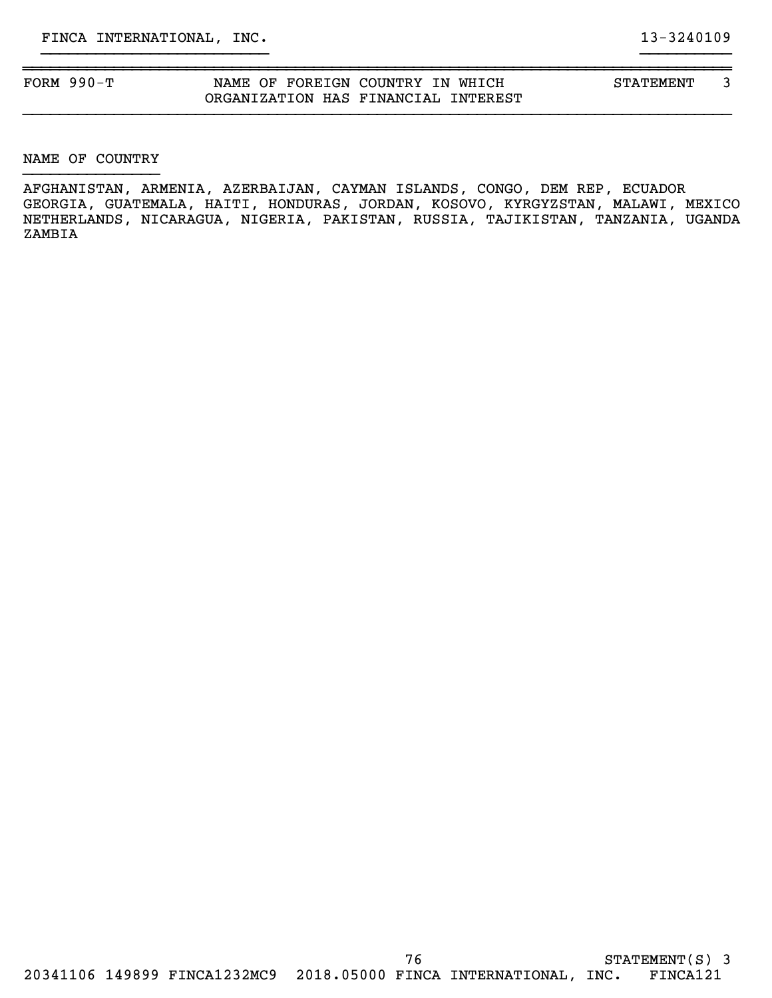| FORM $990-T$ | NAME OF FOREIGN COUNTRY IN WHICH    | STATEMENT |  |
|--------------|-------------------------------------|-----------|--|
|              | ORGANIZATION HAS FINANCIAL INTEREST |           |  |

}}}}}}}}}}}}}}}}}}}}}}}}} }}}}}}}}}}

NAME OF COUNTRY }}}}}}}}}}}}}}}

AFGHANISTAN, ARMENIA, AZERBAIJAN, CAYMAN ISLANDS, CONGO, DEM REP, ECUADOR GEORGIA, GUATEMALA, HAITI, HONDURAS, JORDAN, KOSOVO, KYRGYZSTAN, MALAWI, MEXICO NETHERLANDS, NICARAGUA, NIGERIA, PAKISTAN, RUSSIA, TAJIKISTAN, TANZANIA, UGANDA ZAMBIA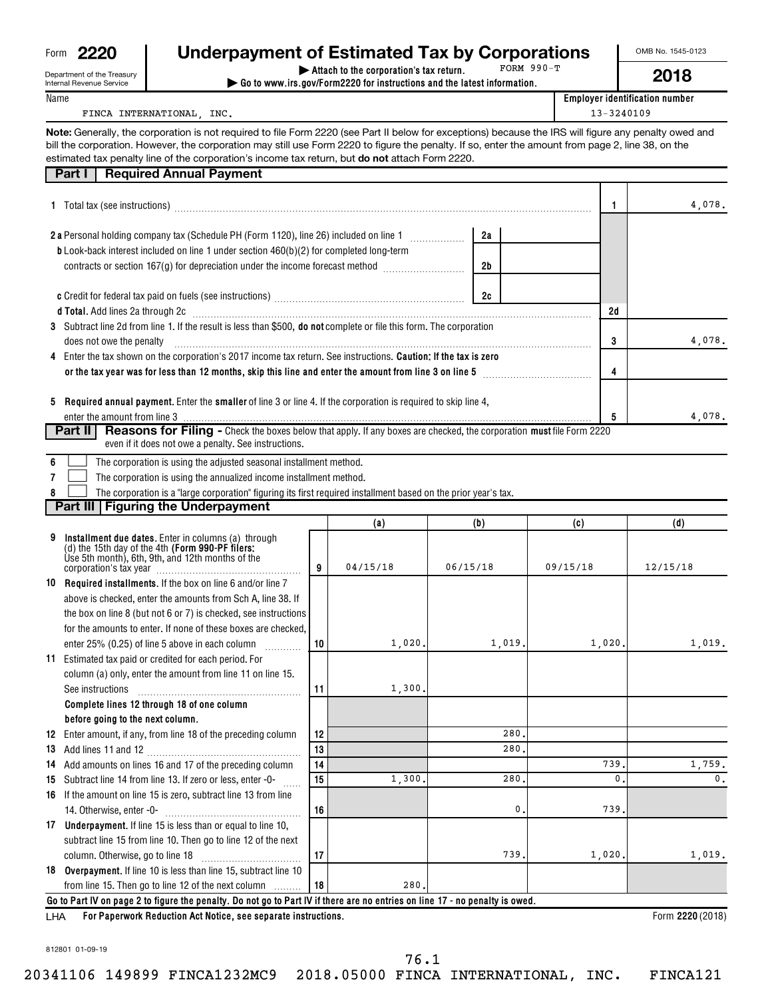| Form | וכיכי |
|------|-------|
|      |       |

Department of the Treasury

| 2220               | <b>Underpayment of Estimated Tax by Corporations</b> |              |
|--------------------|------------------------------------------------------|--------------|
| nt of the Tressury | Attach to the corporation's tax return.              | FORM $990-T$ |

FORM 990-T

**| Go to www.irs.gov/Form2220 for instructions and the latest information.**

Name

Internal Revenue Service

**Employer identification number**

# FINCA INTERNATIONAL, INC. 13-3240109

**Note:** Generally, the corporation is not required to file Form 2220 (see Part II below for exceptions) because the IRS will figure any penalty owed and estimated tax penalty line of the corporation's income tax return, but **do not** attach Form 2220. bill the corporation. However, the corporation may still use Form 2220 to figure the penalty. If so, enter the amount from page 2, line 38, on the

# **Part I** Required Annual Payment

|     | 1 Total tax (see instructions) manufacture contains and a set of the set of the set of the set of the set of the set of the set of the set of the set of the set of the set of the set of the set of the set of the set of the |    |          |                | 1        | 4,078.           |
|-----|--------------------------------------------------------------------------------------------------------------------------------------------------------------------------------------------------------------------------------|----|----------|----------------|----------|------------------|
|     |                                                                                                                                                                                                                                |    |          | 2a             |          |                  |
|     |                                                                                                                                                                                                                                |    |          |                |          |                  |
|     | <b>b</b> Look-back interest included on line 1 under section 460(b)(2) for completed long-term                                                                                                                                 |    |          |                |          |                  |
|     | contracts or section 167(g) for depreciation under the income forecast method                                                                                                                                                  |    |          | 2 <sub>b</sub> |          |                  |
|     |                                                                                                                                                                                                                                |    |          | 2c             |          |                  |
|     | d Total. Add lines 2a through 2c [11] Marshall Marshall Marshall Marshall Marshall Marshall Marshall Marshall Ma                                                                                                               |    |          |                | 2d       |                  |
|     | 3 Subtract line 2d from line 1. If the result is less than \$500, do not complete or file this form. The corporation                                                                                                           |    |          |                |          |                  |
|     | does not owe the penalty                                                                                                                                                                                                       |    |          |                | 3        | 4,078.           |
| 4   | Enter the tax shown on the corporation's 2017 income tax return. See instructions. Caution; If the tax is zero                                                                                                                 |    |          |                |          |                  |
|     | or the tax year was for less than 12 months, skip this line and enter the amount from line 3 on line 5 manufactured in the state of the local metal of the local metal of the local metal of the local metal of the local meta |    |          |                | 4        |                  |
|     |                                                                                                                                                                                                                                |    |          |                |          |                  |
|     | 5 Required annual payment. Enter the smaller of line 3 or line 4. If the corporation is required to skip line 4,                                                                                                               |    |          |                |          |                  |
|     |                                                                                                                                                                                                                                |    |          |                | 5        | 4,078.           |
|     | <b>Reasons for Filing -</b> Check the boxes below that apply. If any boxes are checked, the corporation must file Form 2220<br>Part II                                                                                         |    |          |                |          |                  |
|     | even if it does not owe a penalty. See instructions.                                                                                                                                                                           |    |          |                |          |                  |
| 6   | The corporation is using the adjusted seasonal installment method.                                                                                                                                                             |    |          |                |          |                  |
|     | The corporation is using the annualized income installment method.                                                                                                                                                             |    |          |                |          |                  |
|     | The corporation is a "large corporation" figuring its first required installment based on the prior year's tax.                                                                                                                |    |          |                |          |                  |
|     | Part III   Figuring the Underpayment                                                                                                                                                                                           |    |          |                |          |                  |
|     |                                                                                                                                                                                                                                |    | (a)      | (b)            | (c)      | (d)              |
| 9   | Installment due dates. Enter in columns (a) through<br>(d) the 15th day of the 4th (Form 990-PF filers:<br>Use 5th month), 6th, 9th, and 12th months of the<br>corporation's tax year<br>components of the                     | 9  | 04/15/18 | 06/15/18       | 09/15/18 | 12/15/18         |
|     | 10 Required installments. If the box on line 6 and/or line 7                                                                                                                                                                   |    |          |                |          |                  |
|     | above is checked, enter the amounts from Sch A, line 38. If                                                                                                                                                                    |    |          |                |          |                  |
|     |                                                                                                                                                                                                                                |    |          |                |          |                  |
|     | the box on line 8 (but not 6 or 7) is checked, see instructions                                                                                                                                                                |    |          |                |          |                  |
|     | for the amounts to enter. If none of these boxes are checked,                                                                                                                                                                  |    |          |                |          |                  |
|     | enter 25% (0.25) of line 5 above in each column<br>.                                                                                                                                                                           | 10 | 1,020.   | 1,019.         | 1,020,   | 1,019.           |
|     | 11 Estimated tax paid or credited for each period. For                                                                                                                                                                         |    |          |                |          |                  |
|     | column (a) only, enter the amount from line 11 on line 15.                                                                                                                                                                     |    |          |                |          |                  |
|     | See instructions                                                                                                                                                                                                               | 11 | 1,300.   |                |          |                  |
|     | Complete lines 12 through 18 of one column                                                                                                                                                                                     |    |          |                |          |                  |
|     | before going to the next column.                                                                                                                                                                                               |    |          |                |          |                  |
|     | 12 Enter amount, if any, from line 18 of the preceding column                                                                                                                                                                  | 12 |          | 280.           |          |                  |
|     |                                                                                                                                                                                                                                | 13 |          | 280            |          |                  |
|     | 14 Add amounts on lines 16 and 17 of the preceding column                                                                                                                                                                      | 14 |          |                | 739      | 1,759.           |
|     | 15 Subtract line 14 from line 13. If zero or less, enter -0-                                                                                                                                                                   | 15 | 1,300    | 280            | 0        | 0.               |
|     | 16 If the amount on line 15 is zero, subtract line 13 from line                                                                                                                                                                |    |          |                |          |                  |
|     | 14. Otherwise, enter -0-                                                                                                                                                                                                       | 16 |          | 0,             | 739      |                  |
|     | 17 Underpayment. If line 15 is less than or equal to line 10,                                                                                                                                                                  |    |          |                |          |                  |
|     | subtract line 15 from line 10. Then go to line 12 of the next                                                                                                                                                                  |    |          |                |          |                  |
|     | column. Otherwise, go to line 18                                                                                                                                                                                               | 17 |          | 739.           | 1,020    | 1,019.           |
|     | 18 Overpayment. If line 10 is less than line 15, subtract line 10                                                                                                                                                              |    |          |                |          |                  |
|     | from line 15. Then go to line 12 of the next column                                                                                                                                                                            | 18 | 280      |                |          |                  |
|     | Go to Part IV on page 2 to figure the penalty. Do not go to Part IV if there are no entries on line 17 - no penalty is owed.                                                                                                   |    |          |                |          |                  |
| LHA | For Paperwork Reduction Act Notice, see separate instructions.                                                                                                                                                                 |    |          |                |          | Form 2220 (2018) |

**For Paperwork Reduction Act Notice, see separate instructions. 2220**  LHA

812801 01-09-19

20341106 149899 FINCA1232MC9 2018.05000 FINCA INTERNATIONAL, INC. FINCA121

| OMB No. 1545-012 |      |
|------------------|------|
|                  | 2018 |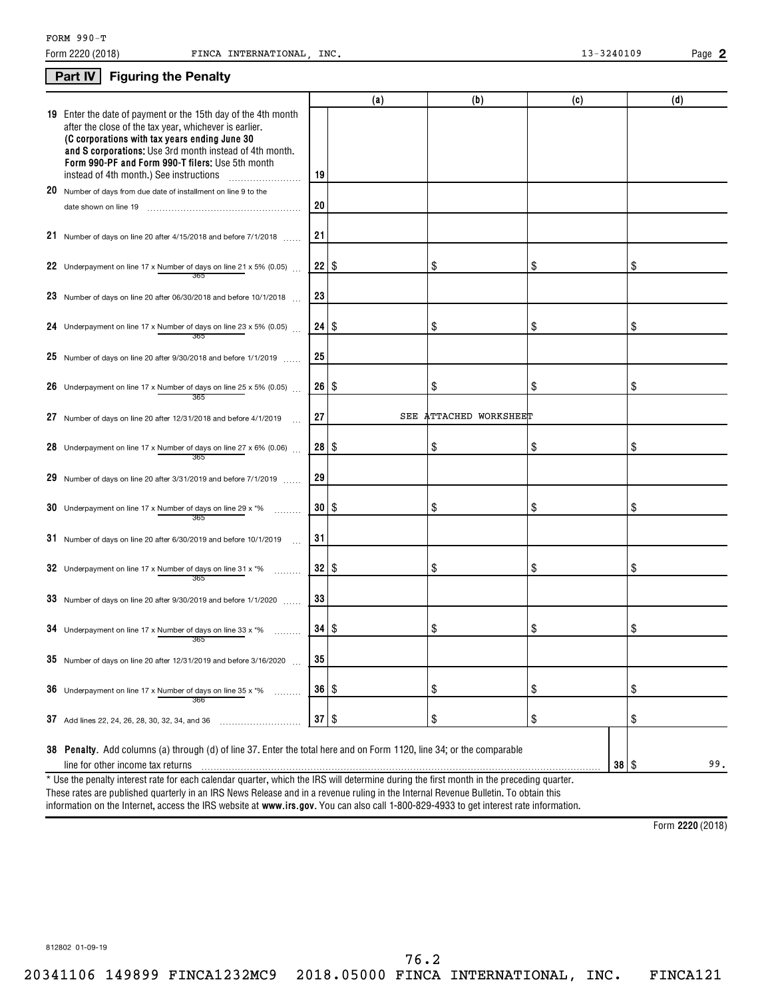## **Part IV Figuring the Penalty**

**2**

|                                                                                                                                                                                                                                                                                         |                     | (a) | (b)                       | (c) | (d) |
|-----------------------------------------------------------------------------------------------------------------------------------------------------------------------------------------------------------------------------------------------------------------------------------------|---------------------|-----|---------------------------|-----|-----|
| 19 Enter the date of payment or the 15th day of the 4th month<br>after the close of the tax year, whichever is earlier.<br>(C corporations with tax years ending June 30<br>and S corporations: Use 3rd month instead of 4th month.<br>Form 990-PF and Form 990-T filers: Use 5th month |                     |     |                           |     |     |
| instead of 4th month.) See instructions                                                                                                                                                                                                                                                 | 19                  |     |                           |     |     |
| 20 Number of days from due date of installment on line 9 to the                                                                                                                                                                                                                         |                     |     |                           |     |     |
|                                                                                                                                                                                                                                                                                         | 20                  |     |                           |     |     |
| 21 Number of days on line 20 after $4/15/2018$ and before $7/1/2018$                                                                                                                                                                                                                    | 21                  |     |                           |     |     |
| 22 Underpayment on line 17 x Number of days on line 21 x 5% (0.05) $\ldots$                                                                                                                                                                                                             | $22  $ \$           |     | \$                        | \$  | \$  |
| 365                                                                                                                                                                                                                                                                                     |                     |     |                           |     |     |
| 23 Number of days on line 20 after 06/30/2018 and before 10/1/2018                                                                                                                                                                                                                      | 23                  |     |                           |     |     |
| 24 Underpayment on line 17 x Number of days on line 23 x 5% (0.05).<br>365                                                                                                                                                                                                              | $24 \, \vert \, \$$ |     | \$                        | \$  | \$  |
| 25 Number of days on line 20 after 9/30/2018 and before $1/1/2019$                                                                                                                                                                                                                      | 25                  |     |                           |     |     |
| 26 Underpayment on line 17 x Number of days on line 25 x 5% (0.05)                                                                                                                                                                                                                      | $26 \mid$ \$        |     | \$                        | \$  | \$  |
| 365<br>27 Number of days on line 20 after 12/31/2018 and before $4/1/2019$                                                                                                                                                                                                              | 27                  | SEE | <b>ATTACHED WORKSHEET</b> |     |     |
| 28 Underpayment on line 17 x Number of days on line 27 x 6% (0.06)                                                                                                                                                                                                                      | $28  $ \$           |     | \$                        | \$  | \$  |
| 365<br>29 Number of days on line 20 after $3/31/2019$ and before $7/1/2019$                                                                                                                                                                                                             | 29                  |     |                           |     |     |
| 30 Underpayment on line 17 x Number of days on line 29 x $*$ %                                                                                                                                                                                                                          | 30   \$             |     | \$                        | \$  | \$  |
| 365<br>31 Number of days on line 20 after 6/30/2019 and before 10/1/2019                                                                                                                                                                                                                | 31                  |     |                           |     |     |
| 32 Underpayment on line 17 x Number of days on line 31 x $*$ %                                                                                                                                                                                                                          | 32   \$             |     | \$                        | \$  | \$  |
| 365<br>33 Number of days on line 20 after $9/30/2019$ and before $1/1/2020$                                                                                                                                                                                                             | 33                  |     |                           |     |     |
|                                                                                                                                                                                                                                                                                         |                     |     |                           |     |     |
| 34 Underpayment on line 17 x Number of days on line 33 x $*$ %<br>365                                                                                                                                                                                                                   | $34  $ \$           |     | \$                        | \$  | \$  |
| 35 Number of days on line 20 after 12/31/2019 and before $3/16/2020$                                                                                                                                                                                                                    | 35                  |     |                           |     |     |
| 36 Underpayment on line 17 x Number of days on line 35 x *%<br>.<br>366                                                                                                                                                                                                                 | $36 \mid$ \$        |     | \$                        | \$  | \$  |
| 37 Add lines 22, 24, 26, 28, 30, 32, 34, and 36                                                                                                                                                                                                                                         | $37 \mid$ \$        |     | \$                        | \$  | \$  |
|                                                                                                                                                                                                                                                                                         |                     |     |                           |     |     |
| 38 Penalty. Add columns (a) through (d) of line 37. Enter the total here and on Form 1120, line 34; or the comparable<br>line for other income tax returns                                                                                                                              |                     |     |                           |     | 99. |
| * Use the penalty interest rate for each calendar quarter, which the IRS will determine during the first month in the preceding quarter.                                                                                                                                                |                     |     |                           |     |     |
|                                                                                                                                                                                                                                                                                         |                     |     |                           |     |     |

information on the Internet, access the IRS website at **www.irs.gov**. You can also call 1-800-829-4933 to get interest rate information. These rates are published quarterly in an IRS News Release and in a revenue ruling in the Internal Revenue Bulletin. To obtain this

**2220**  Form (2018)

812802 01-09-19

20341106 149899 FINCA1232MC9 2018.05000 FINCA INTERNATIONAL, INC. FINCA121 76.2